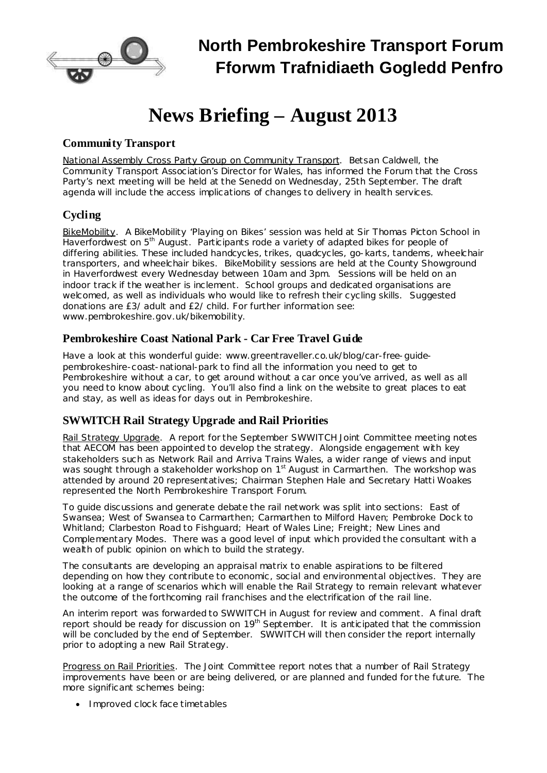

# **News Briefing – August 2013**

# **Community Transport**

National Assembly Cross Party Group on Community Transport. Betsan Caldwell, the Community Transport Association's Director for Wales, has informed the Forum that the Cross Party's next meeting will be held at the Senedd on Wednesday, 25th September. The draft agenda will include the access implications of changes to delivery in health services.

# **Cycling**

BikeMobility. A BikeMobility 'Playing on Bikes' session was held at Sir Thomas Picton School in Haverfordwest on 5<sup>th</sup> August. Participants rode a variety of adapted bikes for people of differing abilities. These included handcycles, trikes, quadcycles, go-karts, tandems, wheelchair transporters, and wheelchair bikes. BikeMobility sessions are held at the County Showground in Haverfordwest every Wednesday between 10am and 3pm. Sessions will be held on an indoor track if the weather is inclement. School groups and dedicated organisations are welcomed, as well as individuals who would like to refresh their cycling skills. Suggested donations are £3/ adult and £2/ child. For further information see: [www.pembrokeshire.gov.uk/bikemobility.](http://www.pembrokeshire.gov.uk/bikemobility)

#### **Pembrokeshire Coast National Park - Car Free Travel Guide**

Have a look at this wonderful guide: [www.greentraveller.co.uk/blog/car-free-guide](http://www.greentraveller.co.uk/blog/car-free-guide-pembrokeshire-coast-national-park)[pembrokeshire-coast-national-park](http://www.greentraveller.co.uk/blog/car-free-guide-pembrokeshire-coast-national-park) to find all the information you need to get to Pembrokeshire without a car, to get around without a car once you've arrived, as well as all you need to know about cycling. You'll also find a link on the website to great places to eat and stay, as well as ideas for days out in Pembrokeshire.

### **SWWITCH Rail Strategy Upgrade and Rail Priorities**

Rail Strategy Upgrade. A report for the September SWWITCH Joint Committee meeting notes that AECOM has been appointed to develop the strategy. Alongside engagement with key stakeholders such as Network Rail and Arriva Trains Wales, a wider range of views and input was sought through a stakeholder workshop on 1<sup>st</sup> August in Carmarthen. The workshop was attended by around 20 representatives; Chairman Stephen Hale and Secretary Hatti Woakes represented the North Pembrokeshire Transport Forum.

To guide discussions and generate debate the rail network was split into sections: East of Swansea; West of Swansea to Carmarthen; Carmarthen to Milford Haven; Pembroke Dock to Whitland; Clarbeston Road to Fishguard; Heart of Wales Line; Freight; New Lines and Complementary Modes. There was a good level of input which provided the consultant with a wealth of public opinion on which to build the strategy.

The consultants are developing an appraisal matrix to enable aspirations to be filtered depending on how they contribute to economic, social and environmental objectives. They are looking at a range of scenarios which will enable the Rail Strategy to remain relevant whatever the outcome of the forthcoming rail franchises and the electrification of the rail line.

An interim report was forwarded to SWWITCH in August for review and comment. A final draft report should be ready for discussion on 19<sup>th</sup> September. It is anticipated that the commission will be concluded by the end of September. SWWITCH will then consider the report internally prior to adopting a new Rail Strategy.

Progress on Rail Priorities. The Joint Committee report notes that a number of Rail Strategy improvements have been or are being delivered, or are planned and funded for the future. The more significant schemes being:

· Improved clock face timetables